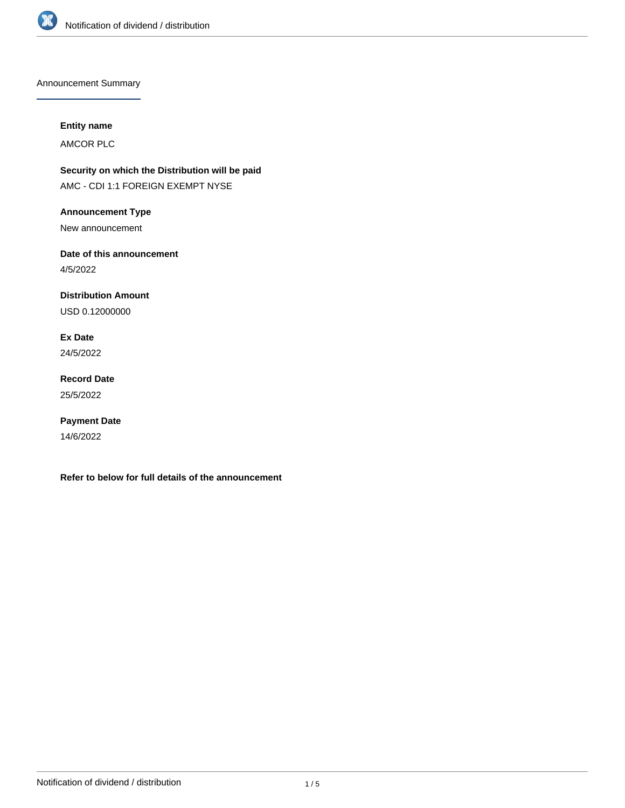

Announcement Summary

## **Entity name**

AMCOR PLC

**Security on which the Distribution will be paid** AMC - CDI 1:1 FOREIGN EXEMPT NYSE

**Announcement Type**

New announcement

**Date of this announcement**

4/5/2022

**Distribution Amount**

USD 0.12000000

**Ex Date** 24/5/2022

**Record Date** 25/5/2022

**Payment Date** 14/6/2022

**Refer to below for full details of the announcement**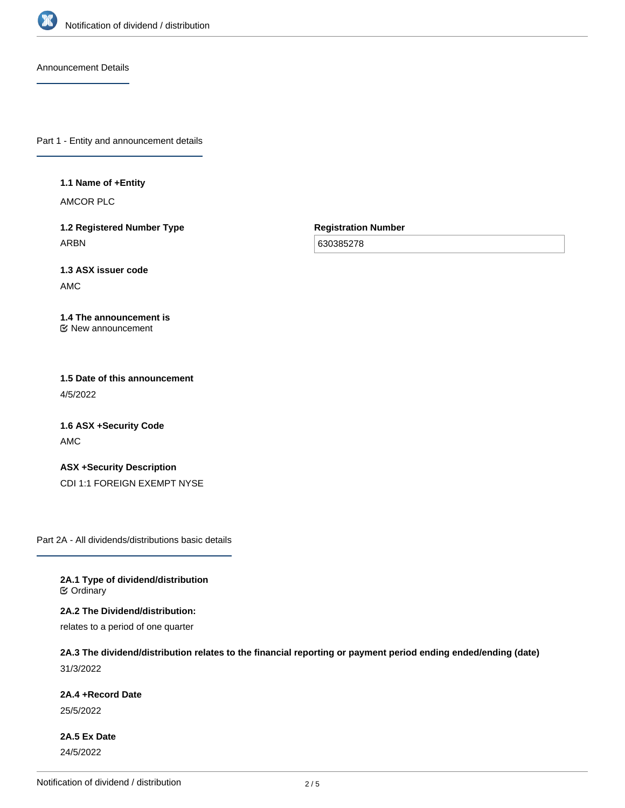

Announcement Details

Part 1 - Entity and announcement details

**1.1 Name of +Entity**

AMCOR PLC

**1.2 Registered Number Type** ARBN

**Registration Number**

630385278

**1.3 ASX issuer code** AMC

**1.4 The announcement is** New announcement

**1.5 Date of this announcement** 4/5/2022

**1.6 ASX +Security Code** AMC

**ASX +Security Description** CDI 1:1 FOREIGN EXEMPT NYSE

Part 2A - All dividends/distributions basic details

**2A.1 Type of dividend/distribution C** Ordinary

**2A.2 The Dividend/distribution:**

relates to a period of one quarter

**2A.3 The dividend/distribution relates to the financial reporting or payment period ending ended/ending (date)** 31/3/2022

**2A.4 +Record Date**

25/5/2022

**2A.5 Ex Date** 24/5/2022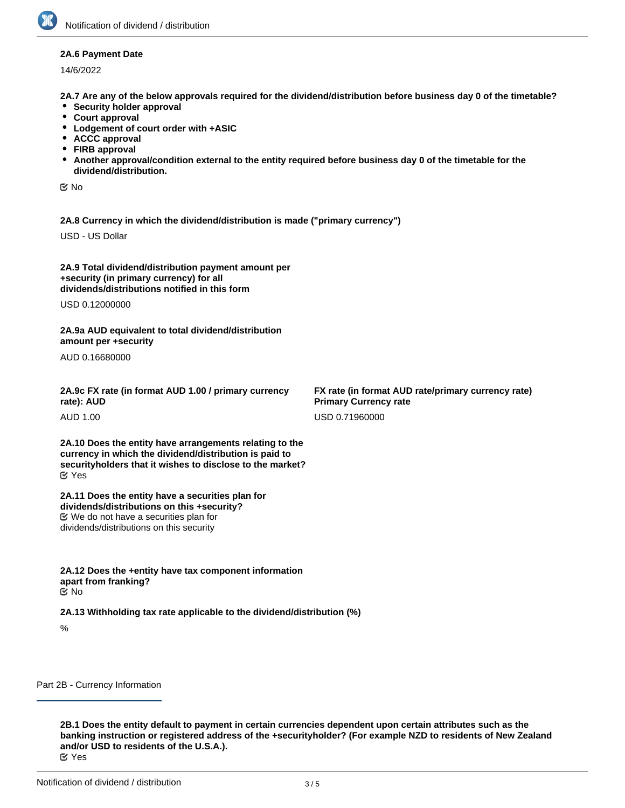## **2A.6 Payment Date**

14/6/2022

**2A.7 Are any of the below approvals required for the dividend/distribution before business day 0 of the timetable?**

- **•** Security holder approval
- **Court approval**
- **Lodgement of court order with +ASIC**
- **ACCC approval**
- **FIRB approval**
- **Another approval/condition external to the entity required before business day 0 of the timetable for the dividend/distribution.**

No

**2A.8 Currency in which the dividend/distribution is made ("primary currency")**

USD - US Dollar

| 2A.9 Total dividend/distribution payment amount per |  |
|-----------------------------------------------------|--|
| +security (in primary currency) for all             |  |
| dividends/distributions notified in this form       |  |

USD 0.12000000

**2A.9a AUD equivalent to total dividend/distribution amount per +security**

AUD 0.16680000

| 2A.9c FX rate (in format AUD 1.00 / primary currency |  |
|------------------------------------------------------|--|
| rate): AUD                                           |  |

AUD 1.00

**2A.10 Does the entity have arrangements relating to the currency in which the dividend/distribution is paid to securityholders that it wishes to disclose to the market?** Yes

**2A.11 Does the entity have a securities plan for dividends/distributions on this +security?** We do not have a securities plan for dividends/distributions on this security

**2A.12 Does the +entity have tax component information apart from franking?** No

**2A.13 Withholding tax rate applicable to the dividend/distribution (%)**

%

Part 2B - Currency Information

**2B.1 Does the entity default to payment in certain currencies dependent upon certain attributes such as the banking instruction or registered address of the +securityholder? (For example NZD to residents of New Zealand and/or USD to residents of the U.S.A.).** Yes

**FX rate (in format AUD rate/primary currency rate) Primary Currency rate** USD 0.71960000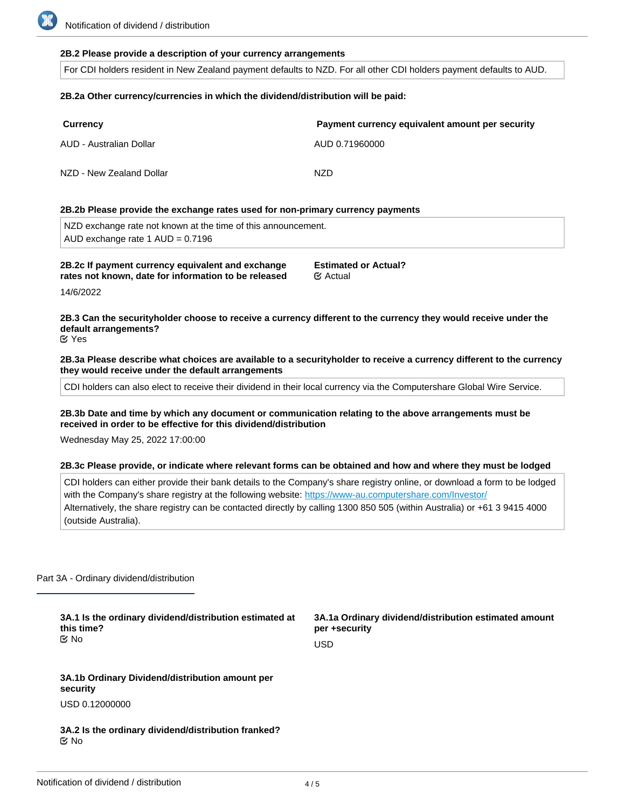## **2B.2 Please provide a description of your currency arrangements**

For CDI holders resident in New Zealand payment defaults to NZD. For all other CDI holders payment defaults to AUD.

### **2B.2a Other currency/currencies in which the dividend/distribution will be paid:**

| <b>Currency</b>          | Payment currency equivalent amount per security |
|--------------------------|-------------------------------------------------|
| AUD - Australian Dollar  | AUD 0.71960000                                  |
| NZD - New Zealand Dollar | NZD                                             |

#### **2B.2b Please provide the exchange rates used for non-primary currency payments**

NZD exchange rate not known at the time of this announcement. AUD exchange rate 1 AUD = 0.7196

**2B.2c If payment currency equivalent and exchange rates not known, date for information to be released**

**Estimated or Actual?** Actual

14/6/2022

**2B.3 Can the securityholder choose to receive a currency different to the currency they would receive under the default arrangements?**

Yes

**2B.3a Please describe what choices are available to a securityholder to receive a currency different to the currency they would receive under the default arrangements**

CDI holders can also elect to receive their dividend in their local currency via the Computershare Global Wire Service.

**2B.3b Date and time by which any document or communication relating to the above arrangements must be received in order to be effective for this dividend/distribution**

Wednesday May 25, 2022 17:00:00

#### **2B.3c Please provide, or indicate where relevant forms can be obtained and how and where they must be lodged**

CDI holders can either provide their bank details to the Company's share registry online, or download a form to be lodged with the Company's share registry at the following website: <https://www-au.computershare.com/Investor/> Alternatively, the share registry can be contacted directly by calling 1300 850 505 (within Australia) or +61 3 9415 4000 (outside Australia).

Part 3A - Ordinary dividend/distribution

**3A.1 Is the ordinary dividend/distribution estimated at this time?** No

**3A.1a Ordinary dividend/distribution estimated amount per +security**

USD

**3A.1b Ordinary Dividend/distribution amount per security** USD 0.12000000

**3A.2 Is the ordinary dividend/distribution franked?** No

**3A.3 Percentage of ordinary dividend/distribution that is**